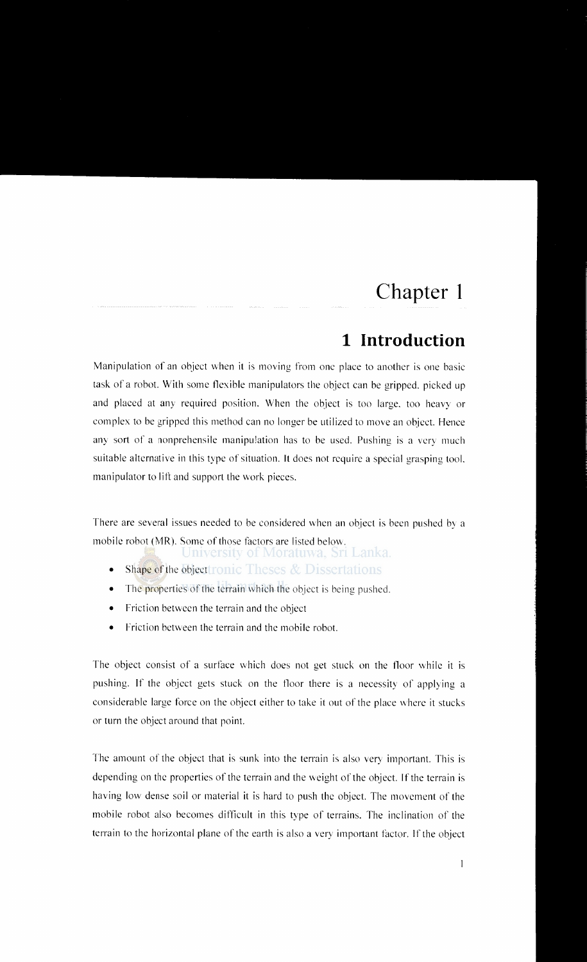# **Chapter 1**

## **1 Introduction**

Manipulation of an object when it is moving from one place to another is one basic task of a robot. With some flexible manipulators the object can be gripped. picked up and placed at any required position. When the object is too large. too heavy or complex to be gripped this method can no longer be utilized to move an object. Hence any sort of a nonprehensile manipulation has to he used. Pushing is a very much suitable alternative in this type of situation. It does not require a special grasping tool. manipulator to lift and support the work pieces.

There are several issues needed to be considered when an object is been pushed by a mobile robot (MR). Some of those factors are listed below.

Jniversity of Moratuwa, Sri Lanka.

- Shape of the object tronic Theses  $&$  Dissertations
- The properties of the terrain which the object is being pushed.
- Friction between the terrain and the object
- Friction between the terrain and the mobile robot.

The object consist of a surface which does not get stuck on the floor while it is pushing. If the object gets stuck on the tloor there is a necessity of applying a considerable large force on the object either to take it out of the place where it stucks or turn the object around that point.

The amount of the object that is sunk into the terrain is also very important. This is depending on the properties of the terrain and the weight of the object. If the terrain is having low dense soil or material it is hard to push the object. The movement of the mobile robot also becomes difficult in this type of terrains. The inclination of the terrain to the horizontal plane of the earth is also a very important factor. If the object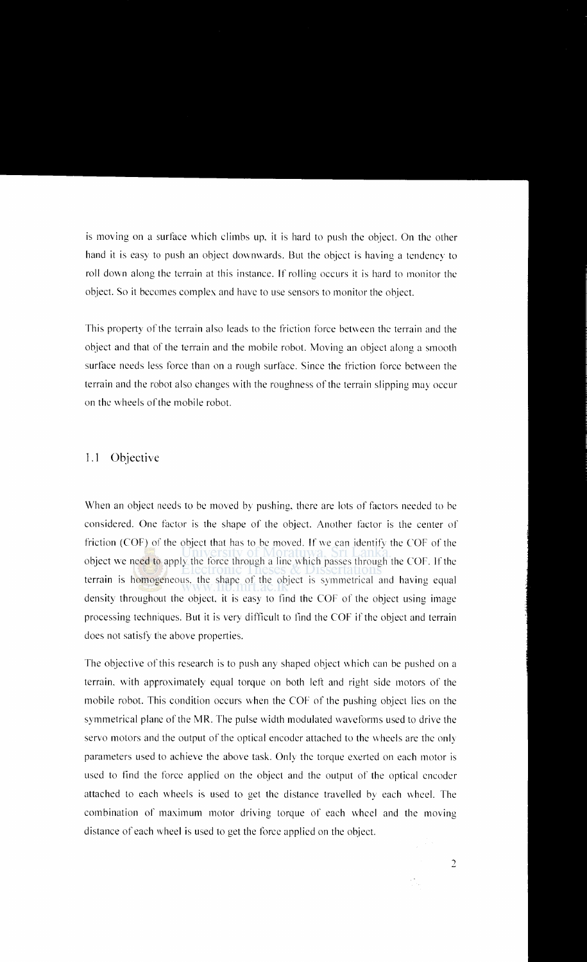is moving on a surface which climbs up, it is hard to push the object. On the other hand it is easy to push an object downwards. But the object is having a tendency to roll down along the terrain at this instance. If rolling occurs it is hard to monitor the object. So it becomes complex and have to use sensors to monitor the object.

This property of the terrain also leads to the friction force between the terrain and the object and that of the terrain and the mobile robot. Moving an object along a smooth surface needs less force than on a rough surface. Since the friction force between the terrain and the robot also changes with the roughness of the terrain slipping may occur on the wheels of the mobile robot.

### 1.1 Objective

When an object needs to be moved by pushing, there are lots of factors needed to be considered. One factor is the shape of the object. Another factor is the center of friction (COF) of the object that has to be moved. If we can identify the COF of the object we need to apply the force through a line which passes through the COF. If the terrain is homogeneous. the shape of the object is symmetrical and having equal density throughout the object it is easy to find the COF of the object using image processing techniques. But it is very difficult to find the COF ifthe object and terrain does not satisfy the above properties.

The objective of this research is to push any shaped object which can be pushed on a terrain. with approximately equal torque on both lett and right side motors of the mobile robot. This condition occurs when the COF of the pushing object lies on the symmetrical plane of the MR. The pulse width modulated waveforms used to drive the servo motors and the output of the optical encoder attached to the wheels are the only parameters used to achieve the above task. Only the torque exerted on each motor is used to find the force applied on the object and the output of the optical encoder attached to each wheels is used to get the distance travelled by each wheel. The combination of maximum motor driving torque of each wheel and the moving distance of each wheel is used to get the force applied on the object.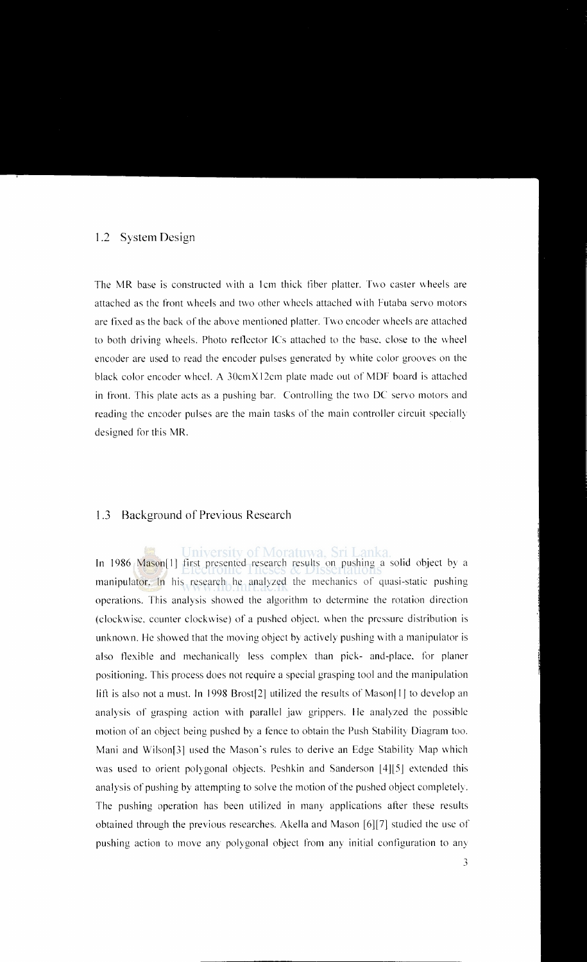#### 1.2 System Design

The MR base is constructed with a 1cm thick fiber platter. Two caster wheels are attached as the front wheels and two other wheels attached with Futaba servo motors are fixed as the back of the above mentioned platter. Two encoder wheels are attached to both driving wheels. Photo reflector ICs attached to the base. close to the wheel encoder are used to read the encoder pulses generated by white color grooves on the black color encoder wheel. A 30cmX 12cm plate made out of MDF board is attached in front. This plate acts as a pushing bar. Controlling the two DC servo motors and reading the encoder pulses are the main tasks of the main controller circuit specially designed for this MR.

#### 1.3 Background of Previous Research

In 1986 Mason[1] first presented research results on pushing a solid object by a manipulator. In his research he analyzed the mechanics of quasi-static pushing operations. This analysis showed the algorithm to determine the rotation direction (clockwise. counter clockwise) of a pushed object. \\hen the pressure distribution is unknown. He showed that the moving object by actively pushing with a manipulator is also flexible and mechanically less complex than pick- and-place. for planer positioning. This process does not require a special grasping tool and the manipulation lift is also not a must. In 1998 Brostf2] utilized the results of Mason[ I] to develop an analysis of grasping action with parallel jaw grippers. He analyzed the possible motion of an object being pushed by a fence to obtain the Push Stability Diagram too. Mani and Wilsonf3l used the Mason's rules to derive an Edge Stability Map which was used to orient polygonal objects. Peshkin and Sanderson  $[4][5]$  extended this analysis of pushing by attempting to solve the motion of the pushed object completely. The pushing operation has been utilized in many applications after these results obtained through the previous researches. Akella and Mason [6][7] studied the usc of pushing action to move any polygonal object from any initial configuration to any